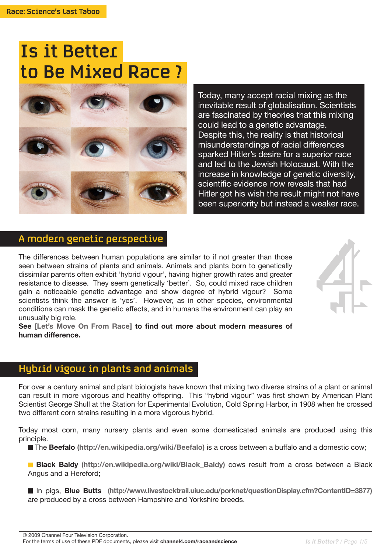# Is it Better to Be Mixed Race ?



Today, many accept racial mixing as the inevitable result of globalisation. Scientists are fascinated by theories that this mixing could lead to a genetic advantage. Despite this, the reality is that historical misunderstandings of racial differences sparked Hitler's desire for a superior race and led to the Jewish Holocaust. With the increase in knowledge of genetic diversity, scientific evidence now reveals that had Hitler got his wish the result might not have been superiority but instead a weaker race.

#### A modern genetic perspective

The differences between human populations are similar to if not greater than those seen between strains of plants and animals. Animals and plants born to genetically dissimilar parents often exhibit 'hybrid vigour', having higher growth rates and greater resistance to disease. They seem genetically 'better'. So, could mixed race children gain a noticeable genetic advantage and show degree of hybrid vigour? Some scientists think the answer is 'yes'. However, as in other species, environmental conditions can mask the genetic effects, and in humans the environment can play an unusually big role.



**See [Let's Move On From Race] to find out more about modern measures of human difference.** 

# Hybrid vigour in plants and animals

For over a century animal and plant biologists have known that mixing two diverse strains of a plant or animal can result in more vigorous and healthy offspring. This "hybrid vigour" was first shown by American Plant Scientist George Shull at the Station for Experimental Evolution, Cold Spring Harbor, in 1908 when he crossed two different corn strains resulting in a more vigorous hybrid.

Today most corn, many nursery plants and even some domesticated animals are produced using this principle.

The **Beefalo (http://en.wikipedia.org/wiki/Beefalo)** is a cross between a buffalo and a domestic cow;

**Black Baldy** (http://en.wikipedia.org/wiki/Black Baldy) cows result from a cross between a Black Angus and a Hereford;

In pigs, **Blue Butts (http://www.livestocktrail.uiuc.edu/porknet/questionDisplay.cfm?ContentID=3877)** are produced by a cross between Hampshire and Yorkshire breeds.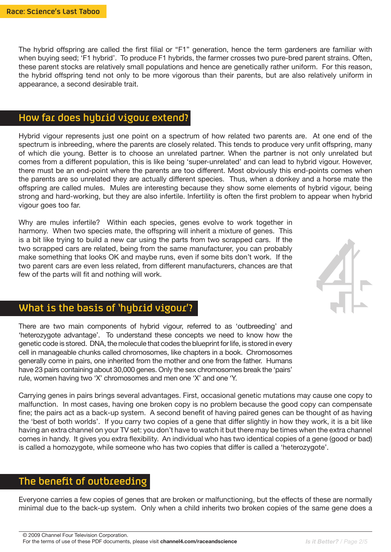The hybrid offspring are called the first filial or "F1" generation, hence the term gardeners are familiar with when buying seed; 'F1 hybrid'. To produce F1 hybrids, the farmer crosses two pure-bred parent strains. Often, these parent stocks are relatively small populations and hence are genetically rather uniform. For this reason, the hybrid offspring tend not only to be more vigorous than their parents, but are also relatively uniform in appearance, a second desirable trait.

#### How far does hybrid vigour extend?

Hybrid vigour represents just one point on a spectrum of how related two parents are. At one end of the spectrum is inbreeding, where the parents are closely related. This tends to produce very unfit offspring, many of which die young. Better is to choose an unrelated partner. When the partner is not only unrelated but comes from a different population, this is like being 'super-unrelated' and can lead to hybrid vigour. However, there must be an end-point where the parents are too different. Most obviously this end-points comes when the parents are so unrelated they are actually different species. Thus, when a donkey and a horse mate the offspring are called mules. Mules are interesting because they show some elements of hybrid vigour, being strong and hard-working, but they are also infertile. Infertility is often the first problem to appear when hybrid vigour goes too far.

Why are mules infertile? Within each species, genes evolve to work together in harmony. When two species mate, the offspring will inherit a mixture of genes. This is a bit like trying to build a new car using the parts from two scrapped cars. If the two scrapped cars are related, being from the same manufacturer, you can probably make something that looks OK and maybe runs, even if some bits don't work. If the two parent cars are even less related, from different manufacturers, chances are that few of the parts will fit and nothing will work.



## What is the basis of 'hybrid vigour'?

There are two main components of hybrid vigour, referred to as 'outbreeding' and 'heterozygote advantage'. To understand these concepts we need to know how the genetic code is stored. DNA, the molecule that codes the blueprint for life, is stored in every cell in manageable chunks called chromosomes, like chapters in a book. Chromosomes generally come in pairs, one inherited from the mother and one from the father. Humans have 23 pairs containing about 30,000 genes. Only the sex chromosomes break the 'pairs' rule, women having two 'X' chromosomes and men one 'X' and one 'Y.

Carrying genes in pairs brings several advantages. First, occasional genetic mutations may cause one copy to malfunction. In most cases, having one broken copy is no problem because the good copy can compensate fine; the pairs act as a back-up system. A second benefit of having paired genes can be thought of as having the 'best of both worlds'. If you carry two copies of a gene that differ slightly in how they work, it is a bit like having an extra channel on your TV set: you don't have to watch it but there may be times when the extra channel comes in handy. It gives you extra flexibility. An individual who has two identical copies of a gene (good or bad) is called a homozygote, while someone who has two copies that differ is called a 'heterozygote'.

#### The benefit of outbreeding

Everyone carries a few copies of genes that are broken or malfunctioning, but the effects of these are normally minimal due to the back-up system. Only when a child inherits two broken copies of the same gene does a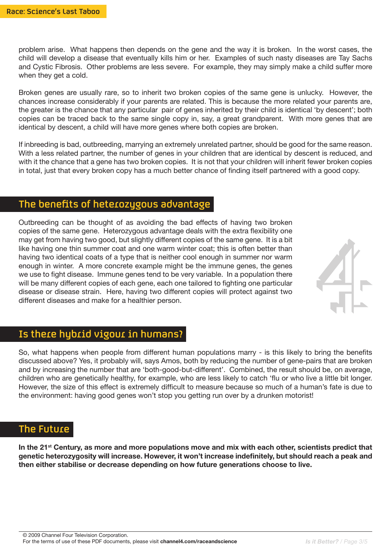problem arise. What happens then depends on the gene and the way it is broken. In the worst cases, the child will develop a disease that eventually kills him or her. Examples of such nasty diseases are Tay Sachs and Cystic Fibrosis. Other problems are less severe. For example, they may simply make a child suffer more when they get a cold.

Broken genes are usually rare, so to inherit two broken copies of the same gene is unlucky. However, the chances increase considerably if your parents are related. This is because the more related your parents are, the greater is the chance that any particular pair of genes inherited by their child is identical 'by descent'; both copies can be traced back to the same single copy in, say, a great grandparent. With more genes that are identical by descent, a child will have more genes where both copies are broken.

If inbreeding is bad, outbreeding, marrying an extremely unrelated partner, should be good for the same reason. With a less related partner, the number of genes in your children that are identical by descent is reduced, and with it the chance that a gene has two broken copies. It is not that your children will inherit fewer broken copies in total, just that every broken copy has a much better chance of finding itself partnered with a good copy.

#### The benefits of heterozygous advantage

Outbreeding can be thought of as avoiding the bad effects of having two broken copies of the same gene. Heterozygous advantage deals with the extra flexibility one may get from having two good, but slightly different copies of the same gene. It is a bit like having one thin summer coat and one warm winter coat; this is often better than having two identical coats of a type that is neither cool enough in summer nor warm enough in winter. A more concrete example might be the immune genes, the genes we use to fight disease. Immune genes tend to be very variable. In a population there will be many different copies of each gene, each one tailored to fighting one particular disease or disease strain. Here, having two different copies will protect against two different diseases and make for a healthier person.



#### Is there hybrid vigour in humans?

So, what happens when people from different human populations marry - is this likely to bring the benefits discussed above? Yes, it probably will, says Amos, both by reducing the number of gene-pairs that are broken and by increasing the number that are 'both-good-but-different'. Combined, the result should be, on average, children who are genetically healthy, for example, who are less likely to catch 'flu or who live a little bit longer. However, the size of this effect is extremely difficult to measure because so much of a human's fate is due to the environment: having good genes won't stop you getting run over by a drunken motorist!

#### The Future

**In the 21st Century, as more and more populations move and mix with each other, scientists predict that genetic heterozygosity will increase. However, it won't increase indefinitely, but should reach a peak and then either stabilise or decrease depending on how future generations choose to live.**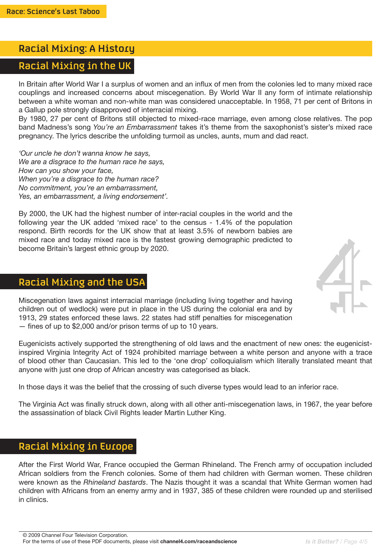## Racial Mixing: A History

## Racial Mixing in the UK

In Britain after World War I a surplus of women and an influx of men from the colonies led to many mixed race couplings and increased concerns about miscegenation. By World War II any form of intimate relationship between a white woman and non-white man was considered unacceptable. In 1958, 71 per cent of Britons in a Gallup pole strongly disapproved of interracial mixing.

By 1980, 27 per cent of Britons still objected to mixed-race marriage, even among close relatives. The pop band Madness's song *You're an Embarrassment* takes it's theme from the saxophonist's sister's mixed race pregnancy. The lyrics describe the unfolding turmoil as uncles, aunts, mum and dad react.

*'Our uncle he don't wanna know he says, We are a disgrace to the human race he says, How can you show your face, When you're a disgrace to the human race? No commitment, you're an embarrassment, Yes, an embarrassment, a living endorsement'.*

By 2000, the UK had the highest number of inter-racial couples in the world and the following year the UK added 'mixed race' to the census - 1.4% of the population respond. Birth records for the UK show that at least 3.5% of newborn babies are mixed race and today mixed race is the fastest growing demographic predicted to become Britain's largest ethnic group by 2020.

# Racial Mixing and the USA

Miscegenation laws against interracial marriage (including living together and having children out of wedlock) were put in place in the US during the colonial era and by 1913, 29 states enforced these laws. 22 states had stiff penalties for miscegenation — fines of up to \$2,000 and/or prison terms of up to 10 years.

Eugenicists actively supported the strengthening of old laws and the enactment of new ones: the eugenicistinspired Virginia Integrity Act of 1924 prohibited marriage between a white person and anyone with a trace of blood other than Caucasian. This led to the 'one drop' colloquialism which literally translated meant that anyone with just one drop of African ancestry was categorised as black.

In those days it was the belief that the crossing of such diverse types would lead to an inferior race.

The Virginia Act was finally struck down, along with all other anti-miscegenation laws, in 1967, the year before the assassination of black Civil Rights leader Martin Luther King.

# Racial Mixing in Europe

After the First World War, France occupied the German Rhineland. The French army of occupation included African soldiers from the French colonies. Some of them had children with German women. These children were known as the *Rhineland bastards*. The Nazis thought it was a scandal that White German women had children with Africans from an enemy army and in 1937, 385 of these children were rounded up and sterilised in clinics.